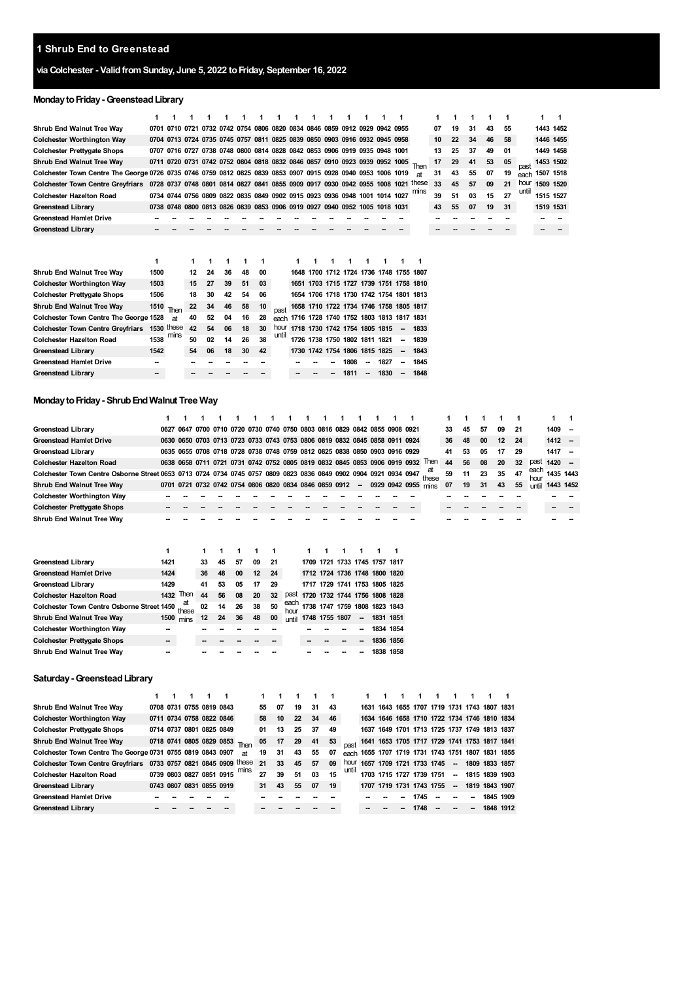### **Shrub End to Greenstead**

# **via Colchester - ValidfromSunday, June 5, 2022 toFriday, September 16, 2022**

# **Monday to Friday - Greenstead Library**

|                                                                                                              | 1    |              |    |    |                                                                            |    |    |                                                                                                                                                          |                               |      |    |                                              |    |       |                                         |    |    |    |    |       | 1 | 1         |  |  |  |
|--------------------------------------------------------------------------------------------------------------|------|--------------|----|----|----------------------------------------------------------------------------|----|----|----------------------------------------------------------------------------------------------------------------------------------------------------------|-------------------------------|------|----|----------------------------------------------|----|-------|-----------------------------------------|----|----|----|----|-------|---|-----------|--|--|--|
| Shrub End Walnut Tree Way                                                                                    |      |              |    |    | 0701 0710 0721 0732 0742 0754 0806 0820 0834 0846 0859 0912 0929 0942 0955 |    |    |                                                                                                                                                          |                               |      |    |                                              |    |       | 07                                      | 19 | 31 | 43 | 55 |       |   | 1443 1452 |  |  |  |
| <b>Colchester Worthington Way</b>                                                                            |      |              |    |    | 0704 0713 0724 0735 0745 0757 0811 0825 0839 0850 0903 0916 0932 0945 0958 |    |    |                                                                                                                                                          |                               |      |    |                                              |    |       | 10                                      | 22 | 34 | 46 | 58 |       |   | 1446 1455 |  |  |  |
| <b>Colchester Prettygate Shops</b>                                                                           |      |              |    |    | 0707 0716 0727 0738 0748 0800 0814 0828 0842 0853 0906 0919 0935 0948 1001 |    |    |                                                                                                                                                          |                               |      |    |                                              |    |       | 13                                      | 25 | 37 | 49 | 01 |       |   | 1449 1458 |  |  |  |
| <b>Shrub End Walnut Tree Way</b>                                                                             |      |              |    |    | 0711 0720 0731 0742 0752 0804 0818 0832 0846 0857 0910 0923 0939 0952 1005 |    |    |                                                                                                                                                          |                               |      |    |                                              |    | Then  | 17                                      | 29 | 41 | 53 | 05 | past  |   | 1453 1502 |  |  |  |
| Colchester Town Centre The George 0726 0735 0746 0759 0812 0825 0839 0853 0907 0915 0928 0940 0953 1006 1019 |      |              |    |    |                                                                            |    |    |                                                                                                                                                          |                               |      |    |                                              |    | аt    | 31                                      | 43 | 55 | 07 | 19 | each  |   | 1507 1518 |  |  |  |
| Colchester Town Centre Greyfriars 0728 0737 0748 0801 0814 0827 0841 0855 0909 0917 0930 0942 0955 1008 1021 |      |              |    |    |                                                                            |    |    | 0734 0744 0756 0809 0822 0835 0849 0902 0915 0923 0936 0948 1001 1014 1027<br>0738 0748 0800 0813 0826 0839 0853 0906 0919 0927 0940 0952 1005 1018 1031 |                               |      |    |                                              |    | these | 33                                      | 45 | 57 | 09 | 21 | hour  |   | 1509 1520 |  |  |  |
| <b>Colchester Hazelton Road</b>                                                                              |      |              |    |    |                                                                            |    |    |                                                                                                                                                          |                               |      |    |                                              |    | mins  | 39                                      | 51 | 03 | 15 | 27 | until |   | 1515 1527 |  |  |  |
| <b>Greenstead Library</b>                                                                                    |      |              |    |    |                                                                            |    |    |                                                                                                                                                          |                               |      |    |                                              |    |       | 43                                      | 55 | 07 | 19 | 31 |       |   | 1519 1531 |  |  |  |
| <b>Greenstead Hamlet Drive</b>                                                                               |      |              |    |    |                                                                            |    |    |                                                                                                                                                          |                               |      |    |                                              |    |       |                                         |    |    |    |    |       |   |           |  |  |  |
| <b>Greenstead Library</b>                                                                                    |      |              |    |    |                                                                            |    |    |                                                                                                                                                          |                               |      |    |                                              |    |       |                                         |    |    |    |    |       |   |           |  |  |  |
|                                                                                                              | 1    |              | 1  |    |                                                                            | 1  |    |                                                                                                                                                          |                               |      |    |                                              |    |       |                                         |    |    |    |    |       |   |           |  |  |  |
| Shrub End Walnut Tree Way                                                                                    | 1500 |              | 12 | 24 | 36                                                                         | 48 | 00 |                                                                                                                                                          |                               |      |    |                                              |    |       | 1648 1700 1712 1724 1736 1748 1755 1807 |    |    |    |    |       |   |           |  |  |  |
| <b>Colchester Worthington Way</b>                                                                            | 1503 |              | 15 | 27 | 39                                                                         | 51 | 03 |                                                                                                                                                          |                               |      |    | 1651 1703 1715 1727 1739 1751 1758 1810      |    |       |                                         |    |    |    |    |       |   |           |  |  |  |
| <b>Colchester Prettygate Shops</b>                                                                           | 1506 |              | 18 | 30 | 42                                                                         | 54 | 06 |                                                                                                                                                          |                               |      |    | 1654 1706 1718 1730 1742 1754 1801 1813      |    |       |                                         |    |    |    |    |       |   |           |  |  |  |
| <b>Shrub End Walnut Tree Way</b>                                                                             | 1510 | Then         | 22 | 34 | 46                                                                         | 58 | 10 | past                                                                                                                                                     |                               |      |    | 1658 1710 1722 1734 1746 1758 1805 1817      |    |       |                                         |    |    |    |    |       |   |           |  |  |  |
| Colchester Town Centre The George 1528                                                                       |      | яt           | 40 | 52 | 04                                                                         | 16 | 28 |                                                                                                                                                          |                               |      |    | each 1716 1728 1740 1752 1803 1813 1817 1831 |    |       |                                         |    |    |    |    |       |   |           |  |  |  |
| <b>Colchester Town Centre Greyfriars</b>                                                                     |      | $1530$ these | 42 | 54 | 06                                                                         | 18 | 30 |                                                                                                                                                          |                               |      |    | hour 1718 1730 1742 1754 1805 1815           |    | 1833  |                                         |    |    |    |    |       |   |           |  |  |  |
| <b>Colchester Hazelton Road</b>                                                                              | 1538 | mins         | 50 | 02 | 14                                                                         | 26 | 38 | until                                                                                                                                                    | 1726 1738 1750 1802 1811 1821 |      |    |                                              | -- | 1839  |                                         |    |    |    |    |       |   |           |  |  |  |
| <b>Greenstead Library</b>                                                                                    | 1542 |              | 54 | 06 | 18                                                                         | 30 | 42 |                                                                                                                                                          |                               |      |    | 1730 1742 1754 1806 1815 1825                | -- | 1843  |                                         |    |    |    |    |       |   |           |  |  |  |
| <b>Greenstead Hamlet Drive</b>                                                                               | --   |              |    |    |                                                                            |    |    |                                                                                                                                                          |                               | 1808 | -- | 1827                                         | -- | 1845  |                                         |    |    |    |    |       |   |           |  |  |  |
| <b>Greenstead Library</b>                                                                                    | --   |              |    |    |                                                                            |    |    |                                                                                                                                                          |                               | 1811 |    | 1830                                         |    | 1848  |                                         |    |    |    |    |       |   |           |  |  |  |

# **MondaytoFriday- ShrubEndWalnut Tree Way**

| <b>Greenstead Librarv</b>                                                                         | 0627                     | 0647        |    |    |    |    |    |              |                                                        |                |                          | 0700 0710 0720 0730 0740 0750 0803 0816 0829 0842 0855 0908 0921           |           |                     |             | 33 | 45 | 57 | 09 | 21 |              | 1409      |  |
|---------------------------------------------------------------------------------------------------|--------------------------|-------------|----|----|----|----|----|--------------|--------------------------------------------------------|----------------|--------------------------|----------------------------------------------------------------------------|-----------|---------------------|-------------|----|----|----|----|----|--------------|-----------|--|
| <b>Greenstead Hamlet Drive</b>                                                                    |                          |             |    |    |    |    |    |              |                                                        |                |                          | 0630 0650 0703 0713 0723 0733 0743 0753 0806 0819 0832 0845 0858 0911 0924 |           |                     |             | 36 | 48 | 00 | 12 | 24 |              | $1412 -$  |  |
| <b>Greenstead Library</b>                                                                         |                          |             |    |    |    |    |    |              |                                                        |                |                          | 0635 0655 0708 0718 0728 0738 0748 0759 0812 0825 0838 0850 0903 0916 0929 |           |                     |             | 41 | 53 | 05 | 17 | 29 |              | 1417      |  |
| <b>Colchester Hazelton Road</b>                                                                   |                          |             |    |    |    |    |    |              |                                                        |                |                          | 0638 0658 0711 0721 0731 0742 0752 0805 0819 0832 0845 0853 0906 0919 0932 |           |                     | Then        | 44 | 56 | 08 | 20 | 32 | past         | 1420      |  |
| Colchester Town Centre Osborne Street 0653 0713 0724 0734 0745 0757 0809 0823 0836 0849 0902 0904 |                          |             |    |    |    |    |    |              |                                                        |                |                          | 0921 0934 0947                                                             |           |                     | at<br>these | 59 | 11 | 23 | 35 | 47 | each<br>hour | 1435 1443 |  |
| <b>Shrub End Walnut Tree Way</b>                                                                  |                          |             |    |    |    |    |    |              | 0701 0721 0732 0742 0754 0806 0820 0834 0846 0859 0912 |                | $\overline{\phantom{a}}$ |                                                                            |           | 0929 0942 0955 mins |             | 07 | 19 | 31 | 43 | 55 | until        | 1443 1452 |  |
| <b>Colchester Worthington Way</b>                                                                 |                          |             |    |    |    |    |    |              |                                                        |                |                          |                                                                            |           |                     |             |    |    |    |    |    |              |           |  |
| <b>Colchester Prettygate Shops</b>                                                                |                          |             |    |    |    |    |    |              |                                                        |                |                          |                                                                            |           |                     |             |    |    |    |    |    |              |           |  |
| Shrub End Walnut Tree Way                                                                         |                          |             |    |    |    |    |    |              |                                                        |                |                          |                                                                            |           |                     |             |    |    |    |    |    |              |           |  |
|                                                                                                   | 1                        |             |    |    |    |    |    |              |                                                        |                |                          |                                                                            |           |                     |             |    |    |    |    |    |              |           |  |
| <b>Greenstead Librarv</b>                                                                         | 1421                     |             | 33 | 45 | 57 | 09 | 21 |              | 1709                                                   |                |                          | 1721 1733 1745 1757 1817                                                   |           |                     |             |    |    |    |    |    |              |           |  |
| <b>Greenstead Hamlet Drive</b>                                                                    | 1424                     |             | 36 | 48 | 00 | 12 | 24 |              |                                                        |                |                          | 1712 1724 1736 1748 1800 1820                                              |           |                     |             |    |    |    |    |    |              |           |  |
| <b>Greenstead Library</b>                                                                         | 1429                     |             | 41 | 53 | 05 | 17 | 29 |              |                                                        |                |                          | 1717 1729 1741 1753 1805 1825                                              |           |                     |             |    |    |    |    |    |              |           |  |
| <b>Colchester Hazelton Road</b>                                                                   |                          | 1432 Then   | 44 | 56 | 08 | 20 | 32 | past         |                                                        |                |                          | 1720 1732 1744 1756 1808 1828                                              |           |                     |             |    |    |    |    |    |              |           |  |
| Colchester Town Centre Osborne Street 1450                                                        |                          | at<br>these | 02 | 14 | 26 | 38 | 50 | each<br>hour | 1738                                                   |                |                          | 1747 1759 1808 1823 1843                                                   |           |                     |             |    |    |    |    |    |              |           |  |
| Shrub End Walnut Tree Way                                                                         |                          | 1500 mins   | 12 | 24 | 36 | 48 | 00 | until        |                                                        | 1748 1755 1807 | $\overline{\phantom{a}}$ |                                                                            | 1831 1851 |                     |             |    |    |    |    |    |              |           |  |
| <b>Colchester Worthington Way</b>                                                                 |                          |             |    |    |    |    |    |              |                                                        |                |                          |                                                                            | 1834 1854 |                     |             |    |    |    |    |    |              |           |  |
| <b>Colchester Prettygate Shops</b>                                                                | $\overline{\phantom{a}}$ |             |    |    |    |    |    |              |                                                        |                |                          |                                                                            | 1836 1856 |                     |             |    |    |    |    |    |              |           |  |
| Shrub End Walnut Tree Way                                                                         |                          |             |    |    |    |    |    |              |                                                        |                |                          |                                                                            | 1838 1858 |                     |             |    |    |    |    |    |              |           |  |

#### **Saturday-GreensteadLibrary**

| Shrub End Walnut Tree Way                                        |  | 0708 0731 0755 0819 0843 |  |                               | 55 | 07 | 19    | 31 | 43 |       |                          |  |      |                          |                          | 1631 1643 1655 1707 1719 1731 1743 1807 1831      |  |
|------------------------------------------------------------------|--|--------------------------|--|-------------------------------|----|----|-------|----|----|-------|--------------------------|--|------|--------------------------|--------------------------|---------------------------------------------------|--|
| <b>Colchester Worthington Way</b>                                |  | 0711 0734 0758 0822 0846 |  |                               | 58 | 10 | 22    | 34 | 46 |       |                          |  |      |                          |                          | 1634 1646 1658 1710 1722 1734 1746 1810 1834      |  |
| <b>Colchester Prettygate Shops</b>                               |  | 0714 0737 0801 0825 0849 |  |                               | 01 | 13 | 25    | 37 | 49 |       |                          |  |      |                          |                          | 1637 1649 1701 1713 1725 1737 1749 1813 1837      |  |
| Shrub End Walnut Tree Way                                        |  |                          |  | 0718 0741 0805 0829 0853 Then | 05 | 17 | 29 41 |    | 53 |       |                          |  |      |                          |                          | 1641 1653 1705 1717 1729 1741 1753 1817 1841      |  |
| Colchester Town Centre The George 0731 0755 0819 0843 0907       |  |                          |  | <b>at</b>                     | 19 | 31 | 43    | 55 | 07 |       |                          |  |      |                          |                          | each 1655 1707 1719 1731 1743 1751 1807 1831 1855 |  |
| Colchester Town Centre Greyfriars 0733 0757 0821 0845 0909 these |  |                          |  |                               | 21 | 33 | 45    | 57 | 09 | hour  |                          |  |      |                          |                          | 1657 1709 1721 1733 1745 - 1809 1833 1857         |  |
| <b>Colchester Hazelton Road</b>                                  |  |                          |  | 0739 0803 0827 0851 0915 mins | 27 | 39 | 51    | 03 | 15 | until |                          |  |      |                          |                          | 1703 1715 1727 1739 1751 - 1815 1839 1903         |  |
| <b>Greenstead Library</b>                                        |  | 0743 0807 0831 0855 0919 |  |                               | 31 | 43 | 55    | 07 | 19 |       | 1707 1719 1731 1743 1755 |  |      | $\overline{\phantom{a}}$ |                          | 1819 1843 1907                                    |  |
| <b>Greenstead Hamlet Drive</b>                                   |  |                          |  |                               |    |    |       |    |    |       |                          |  | 1745 | --                       | --                       | 1845 1909                                         |  |
| <b>Greenstead Library</b>                                        |  |                          |  |                               |    |    |       |    |    |       |                          |  | 1748 | $\overline{\phantom{a}}$ | $\overline{\phantom{a}}$ | 1848 1912                                         |  |